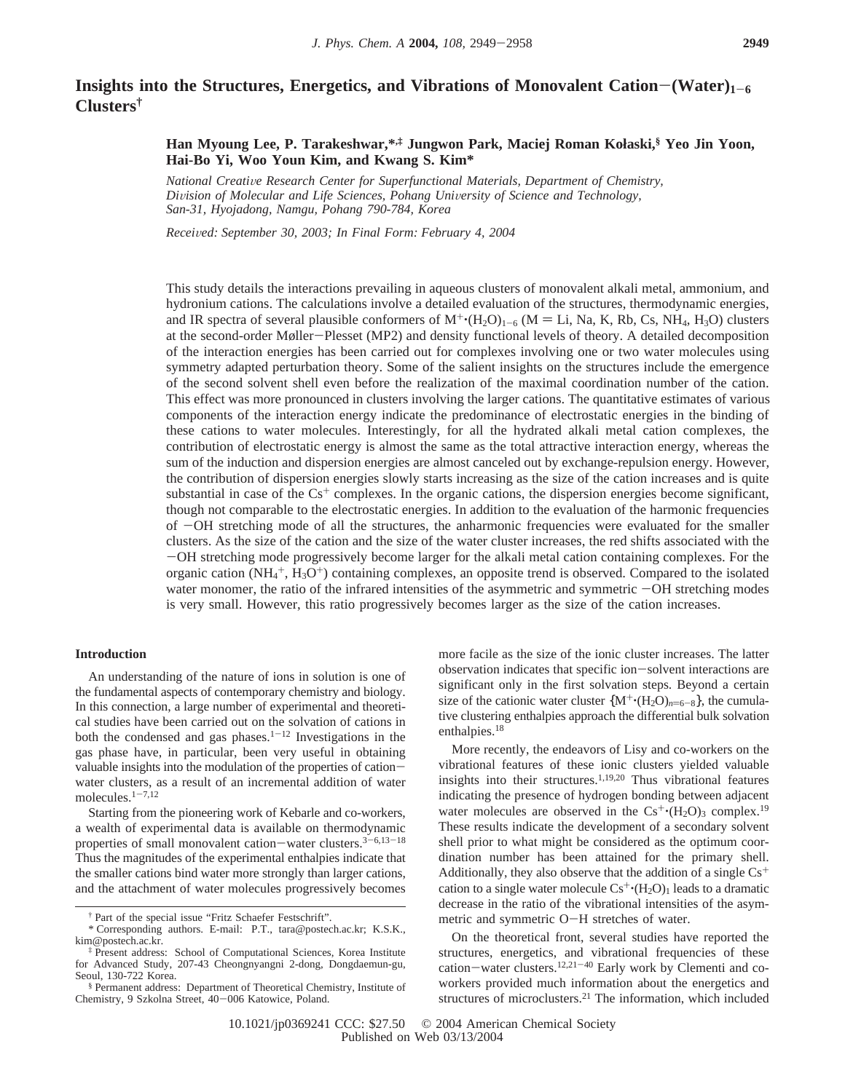# **Insights into the Structures, Energetics, and Vibrations of Monovalent Cation–(Water)<sub>1-6</sub> Clusters†**

# **Han Myoung Lee, P. Tarakeshwar,\*,‡ Jungwon Park, Maciej Roman Kołaski,§ Yeo Jin Yoon, Hai-Bo Yi, Woo Youn Kim, and Kwang S. Kim\***

*National Creati*V*e Research Center for Superfunctional Materials, Department of Chemistry, Di*V*ision of Molecular and Life Sciences, Pohang Uni*V*ersity of Science and Technology, San-31, Hyojadong, Namgu, Pohang 790-784, Korea*

*Recei*V*ed: September 30, 2003; In Final Form: February 4, 2004*

This study details the interactions prevailing in aqueous clusters of monovalent alkali metal, ammonium, and hydronium cations. The calculations involve a detailed evaluation of the structures, thermodynamic energies, and IR spectra of several plausible conformers of  $M^+(H_2O)_{1-6}$  (M = Li, Na, K, Rb, Cs, NH<sub>4</sub>, H<sub>3</sub>O) clusters at the second-order Møller-Plesset (MP2) and density functional levels of theory. A detailed decomposition of the interaction energies has been carried out for complexes involving one or two water molecules using symmetry adapted perturbation theory. Some of the salient insights on the structures include the emergence of the second solvent shell even before the realization of the maximal coordination number of the cation. This effect was more pronounced in clusters involving the larger cations. The quantitative estimates of various components of the interaction energy indicate the predominance of electrostatic energies in the binding of these cations to water molecules. Interestingly, for all the hydrated alkali metal cation complexes, the contribution of electrostatic energy is almost the same as the total attractive interaction energy, whereas the sum of the induction and dispersion energies are almost canceled out by exchange-repulsion energy. However, the contribution of dispersion energies slowly starts increasing as the size of the cation increases and is quite substantial in case of the  $Cs<sup>+</sup>$  complexes. In the organic cations, the dispersion energies become significant, though not comparable to the electrostatic energies. In addition to the evaluation of the harmonic frequencies of -OH stretching mode of all the structures, the anharmonic frequencies were evaluated for the smaller clusters. As the size of the cation and the size of the water cluster increases, the red shifts associated with the -OH stretching mode progressively become larger for the alkali metal cation containing complexes. For the organic cation  $(NH_4^+, H_3O^+)$  containing complexes, an opposite trend is observed. Compared to the isolated water monomer, the ratio of the infrared intensities of the asymmetric and symmetric  $-OH$  stretching modes is very small. However, this ratio progressively becomes larger as the size of the cation increases.

#### **Introduction**

An understanding of the nature of ions in solution is one of the fundamental aspects of contemporary chemistry and biology. In this connection, a large number of experimental and theoretical studies have been carried out on the solvation of cations in both the condensed and gas phases.<sup>1-12</sup> Investigations in the gas phase have, in particular, been very useful in obtaining valuable insights into the modulation of the properties of cationwater clusters, as a result of an incremental addition of water molecules.1-7,12

Starting from the pioneering work of Kebarle and co-workers, a wealth of experimental data is available on thermodynamic properties of small monovalent cation-water clusters.<sup>3-6,13-18</sup> Thus the magnitudes of the experimental enthalpies indicate that the smaller cations bind water more strongly than larger cations, and the attachment of water molecules progressively becomes

more facile as the size of the ionic cluster increases. The latter observation indicates that specific ion-solvent interactions are significant only in the first solvation steps. Beyond a certain size of the cationic water cluster  ${M^+(H_2O)_{n=6-8}}$ , the cumulative clustering enthalpies approach the differential bulk solvation enthalpies.<sup>18</sup>

More recently, the endeavors of Lisy and co-workers on the vibrational features of these ionic clusters yielded valuable insights into their structures.1,19,20 Thus vibrational features indicating the presence of hydrogen bonding between adjacent water molecules are observed in the  $Cs^+(H_2O)$ <sub>3</sub> complex.<sup>19</sup> These results indicate the development of a secondary solvent shell prior to what might be considered as the optimum coordination number has been attained for the primary shell. Additionally, they also observe that the addition of a single  $Cs<sup>+</sup>$ cation to a single water molecule  $Cs^+(H_2O)_1$  leads to a dramatic decrease in the ratio of the vibrational intensities of the asymmetric and symmetric O-H stretches of water.

On the theoretical front, several studies have reported the structures, energetics, and vibrational frequencies of these cation-water clusters.<sup>12,21-40</sup> Early work by Clementi and coworkers provided much information about the energetics and structures of microclusters.21 The information, which included

<sup>†</sup> Part of the special issue "Fritz Schaefer Festschrift".

<sup>\*</sup> Corresponding authors. E-mail: P.T., tara@postech.ac.kr; K.S.K., kim@postech.ac.kr.

<sup>‡</sup> Present address: School of Computational Sciences, Korea Institute for Advanced Study, 207-43 Cheongnyangni 2-dong, Dongdaemun-gu, Seoul, 130-722 Korea.

<sup>§</sup> Permanent address: Department of Theoretical Chemistry, Institute of Chemistry, 9 Szkolna Street, 40-006 Katowice, Poland.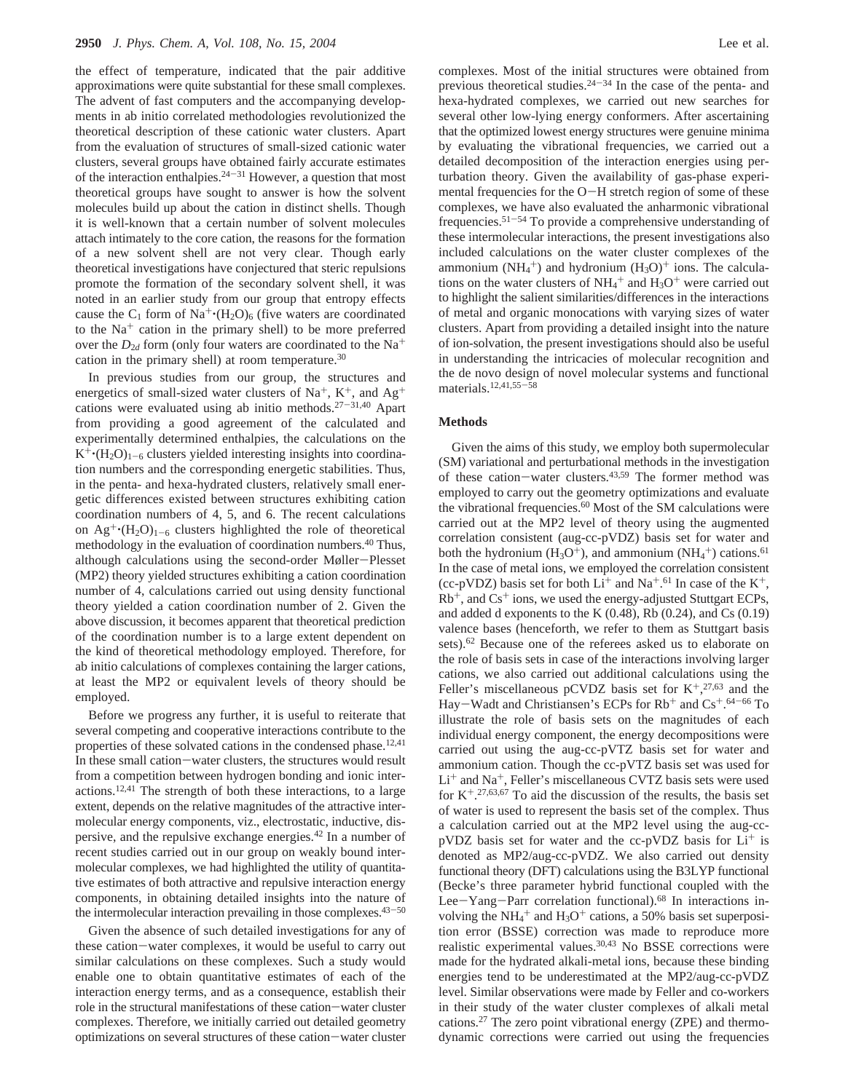the effect of temperature, indicated that the pair additive approximations were quite substantial for these small complexes. The advent of fast computers and the accompanying developments in ab initio correlated methodologies revolutionized the theoretical description of these cationic water clusters. Apart from the evaluation of structures of small-sized cationic water clusters, several groups have obtained fairly accurate estimates of the interaction enthalpies.  $24-31$  However, a question that most theoretical groups have sought to answer is how the solvent molecules build up about the cation in distinct shells. Though it is well-known that a certain number of solvent molecules attach intimately to the core cation, the reasons for the formation of a new solvent shell are not very clear. Though early theoretical investigations have conjectured that steric repulsions promote the formation of the secondary solvent shell, it was noted in an earlier study from our group that entropy effects cause the  $C_1$  form of Na<sup>+</sup>·(H<sub>2</sub>O)<sub>6</sub> (five waters are coordinated to the Na<sup>+</sup> cation in the primary shell) to be more preferred over the  $D_{2d}$  form (only four waters are coordinated to the Na<sup>+</sup> cation in the primary shell) at room temperature.<sup>30</sup>

In previous studies from our group, the structures and energetics of small-sized water clusters of Na<sup>+</sup>, K<sup>+</sup>, and Ag<sup>+</sup> cations were evaluated using ab initio methods.<sup>27-31,40</sup> Apart from providing a good agreement of the calculated and experimentally determined enthalpies, the calculations on the  $K^+(H_2O)_{1-6}$  clusters yielded interesting insights into coordination numbers and the corresponding energetic stabilities. Thus, in the penta- and hexa-hydrated clusters, relatively small energetic differences existed between structures exhibiting cation coordination numbers of 4, 5, and 6. The recent calculations on  $\text{Ag}^+(H_2O)_{1-6}$  clusters highlighted the role of theoretical methodology in the evaluation of coordination numbers.40 Thus, although calculations using the second-order Møller-Plesset (MP2) theory yielded structures exhibiting a cation coordination number of 4, calculations carried out using density functional theory yielded a cation coordination number of 2. Given the above discussion, it becomes apparent that theoretical prediction of the coordination number is to a large extent dependent on the kind of theoretical methodology employed. Therefore, for ab initio calculations of complexes containing the larger cations, at least the MP2 or equivalent levels of theory should be employed.

Before we progress any further, it is useful to reiterate that several competing and cooperative interactions contribute to the properties of these solvated cations in the condensed phase.<sup>12,41</sup> In these small cation-water clusters, the structures would result from a competition between hydrogen bonding and ionic interactions.12,41 The strength of both these interactions, to a large extent, depends on the relative magnitudes of the attractive intermolecular energy components, viz., electrostatic, inductive, dispersive, and the repulsive exchange energies.42 In a number of recent studies carried out in our group on weakly bound intermolecular complexes, we had highlighted the utility of quantitative estimates of both attractive and repulsive interaction energy components, in obtaining detailed insights into the nature of the intermolecular interaction prevailing in those complexes.<sup>43-50</sup>

Given the absence of such detailed investigations for any of these cation-water complexes, it would be useful to carry out similar calculations on these complexes. Such a study would enable one to obtain quantitative estimates of each of the interaction energy terms, and as a consequence, establish their role in the structural manifestations of these cation-water cluster complexes. Therefore, we initially carried out detailed geometry optimizations on several structures of these cation-water cluster complexes. Most of the initial structures were obtained from previous theoretical studies. $24-34$  In the case of the penta- and hexa-hydrated complexes, we carried out new searches for several other low-lying energy conformers. After ascertaining that the optimized lowest energy structures were genuine minima by evaluating the vibrational frequencies, we carried out a detailed decomposition of the interaction energies using perturbation theory. Given the availability of gas-phase experimental frequencies for the O-H stretch region of some of these complexes, we have also evaluated the anharmonic vibrational frequencies.51-<sup>54</sup> To provide a comprehensive understanding of these intermolecular interactions, the present investigations also included calculations on the water cluster complexes of the ammonium  $(NH_4^+)$  and hydronium  $(H_3O)^+$  ions. The calculations on the water clusters of  $NH_4^+$  and  $H_3O^+$  were carried out to highlight the salient similarities/differences in the interactions of metal and organic monocations with varying sizes of water clusters. Apart from providing a detailed insight into the nature of ion-solvation, the present investigations should also be useful in understanding the intricacies of molecular recognition and the de novo design of novel molecular systems and functional materials.12,41,55-<sup>58</sup>

### **Methods**

Given the aims of this study, we employ both supermolecular (SM) variational and perturbational methods in the investigation of these cation-water clusters.43,59 The former method was employed to carry out the geometry optimizations and evaluate the vibrational frequencies.<sup>60</sup> Most of the SM calculations were carried out at the MP2 level of theory using the augmented correlation consistent (aug-cc-pVDZ) basis set for water and both the hydronium  $(H_3O^+)$ , and ammonium  $(NH_4^+)$  cations.<sup>61</sup> In the case of metal ions, we employed the correlation consistent (cc-pVDZ) basis set for both  $Li^+$  and  $Na^+.61$  In case of the  $K^+$ ,  $Rb<sup>+</sup>$ , and  $Cs<sup>+</sup>$  ions, we used the energy-adjusted Stuttgart ECPs, and added d exponents to the K  $(0.48)$ , Rb  $(0.24)$ , and Cs  $(0.19)$ valence bases (henceforth, we refer to them as Stuttgart basis sets).62 Because one of the referees asked us to elaborate on the role of basis sets in case of the interactions involving larger cations, we also carried out additional calculations using the Feller's miscellaneous pCVDZ basis set for  $K^+$ ,  $27,63$  and the Hay–Wadt and Christiansen's ECPs for Rb<sup>+</sup> and Cs<sup>+</sup>.<sup>64–66</sup> To<br>illustrate the role of basis sets on the magnitudes of each illustrate the role of basis sets on the magnitudes of each individual energy component, the energy decompositions were carried out using the aug-cc-pVTZ basis set for water and ammonium cation. Though the cc-pVTZ basis set was used for Li<sup>+</sup> and Na+, Feller's miscellaneous CVTZ basis sets were used for  $K^{+,27,63,67}$  To aid the discussion of the results, the basis set of water is used to represent the basis set of the complex. Thus a calculation carried out at the MP2 level using the aug-cc $pVDZ$  basis set for water and the cc-pVDZ basis for  $Li<sup>+</sup>$  is denoted as MP2/aug-cc-pVDZ. We also carried out density functional theory (DFT) calculations using the B3LYP functional (Becke's three parameter hybrid functional coupled with the Lee-Yang-Parr correlation functional).68 In interactions involving the  $NH_4^+$  and  $H_3O^+$  cations, a 50% basis set superposition error (BSSE) correction was made to reproduce more realistic experimental values.30,43 No BSSE corrections were made for the hydrated alkali-metal ions, because these binding energies tend to be underestimated at the MP2/aug-cc-pVDZ level. Similar observations were made by Feller and co-workers in their study of the water cluster complexes of alkali metal cations.27 The zero point vibrational energy (ZPE) and thermodynamic corrections were carried out using the frequencies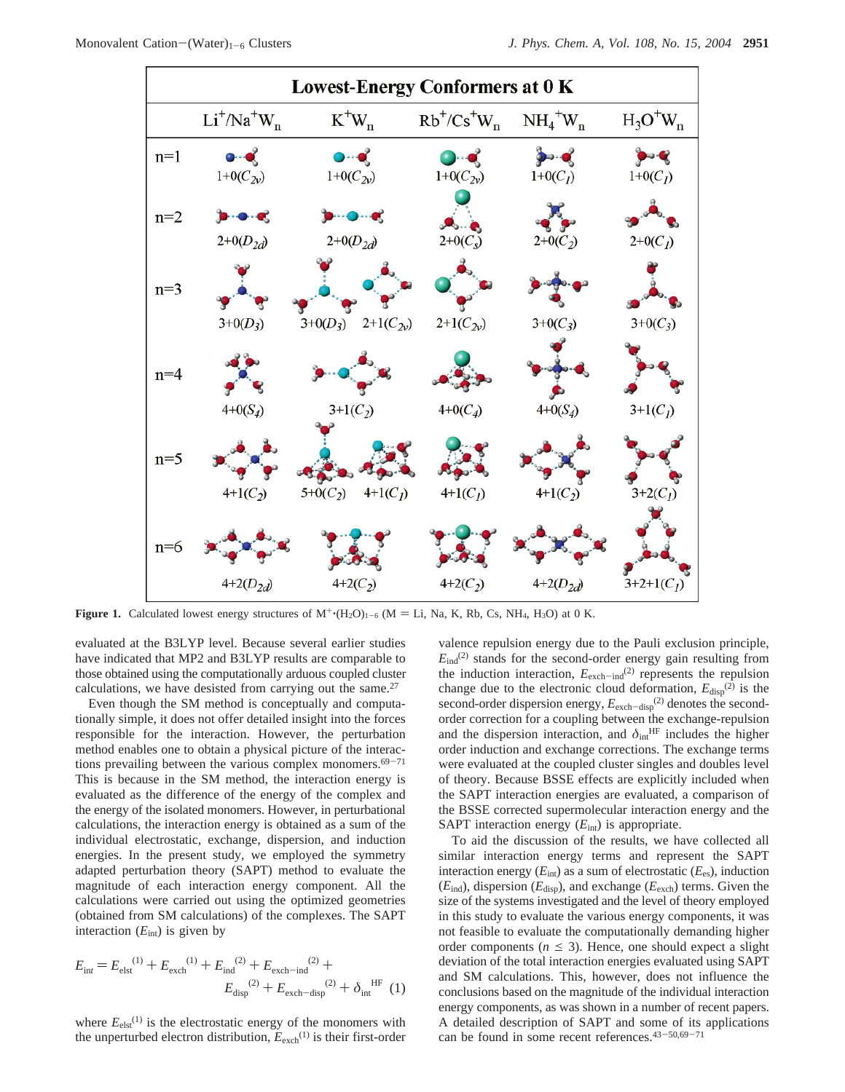

**Figure 1.** Calculated lowest energy structures of  $M^+(H_2O)_{1-6}$  (M = Li, Na, K, Rb, Cs, NH<sub>4</sub>, H<sub>3</sub>O) at 0 K.

evaluated at the B3LYP level. Because several earlier studies have indicated that MP2 and B3LYP results are comparable to those obtained using the computationally arduous coupled cluster calculations, we have desisted from carrying out the same.27

Even though the SM method is conceptually and computationally simple, it does not offer detailed insight into the forces responsible for the interaction. However, the perturbation method enables one to obtain a physical picture of the interactions prevailing between the various complex monomers. $69-71$ This is because in the SM method, the interaction energy is evaluated as the difference of the energy of the complex and the energy of the isolated monomers. However, in perturbational calculations, the interaction energy is obtained as a sum of the individual electrostatic, exchange, dispersion, and induction energies. In the present study, we employed the symmetry adapted perturbation theory (SAPT) method to evaluate the magnitude of each interaction energy component. All the calculations were carried out using the optimized geometries (obtained from SM calculations) of the complexes. The SAPT interaction  $(E_{int})$  is given by

$$
E_{\text{int}} = E_{\text{elst}}^{(1)} + E_{\text{exch}}^{(1)} + E_{\text{ind}}^{(2)} + E_{\text{exch-ind}}^{(2)} + E_{\text{exch-diap}}^{(2)} + \delta_{\text{int}}^{HF} (1)
$$

where  $E_{\text{elst}}^{(1)}$  is the electrostatic energy of the monomers with the unperturbed electron distribution,  $E_{\text{exch}}^{(1)}$  is their first-order valence repulsion energy due to the Pauli exclusion principle,  $E_{\text{ind}}^{(2)}$  stands for the second-order energy gain resulting from the induction interaction,  $E_{\text{exch-ind}}^{(2)}$  represents the repulsion change due to the electronic cloud deformation,  $E_{\text{disp}}^{(2)}$  is the second-order dispersion energy,  $E_{\text{exch-disp}}^{(2)}$  denotes the secondorder correction for a coupling between the exchange-repulsion and the dispersion interaction, and  $\delta_{int}^{HF}$  includes the higher order induction and exchange corrections. The exchange terms were evaluated at the coupled cluster singles and doubles level of theory. Because BSSE effects are explicitly included when the SAPT interaction energies are evaluated, a comparison of the BSSE corrected supermolecular interaction energy and the SAPT interaction energy ( $E_{int}$ ) is appropriate.

To aid the discussion of the results, we have collected all similar interaction energy terms and represent the SAPT interaction energy (*E*int) as a sum of electrostatic (*E*es), induction (*E*ind), dispersion (*E*disp), and exchange (*E*exch) terms. Given the size of the systems investigated and the level of theory employed in this study to evaluate the various energy components, it was not feasible to evaluate the computationally demanding higher order components ( $n \leq 3$ ). Hence, one should expect a slight deviation of the total interaction energies evaluated using SAPT and SM calculations. This, however, does not influence the conclusions based on the magnitude of the individual interaction energy components, as was shown in a number of recent papers. A detailed description of SAPT and some of its applications can be found in some recent references.43-50,69-<sup>71</sup>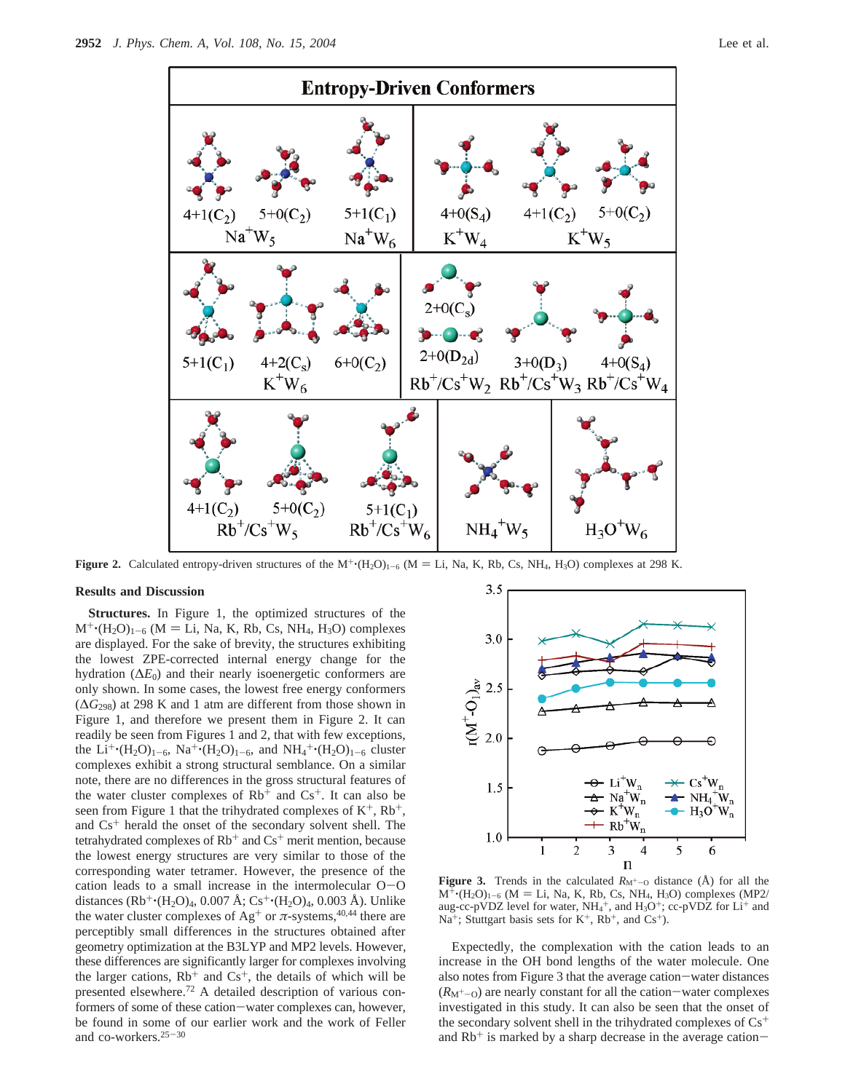

**Figure 2.** Calculated entropy-driven structures of the  $M^+(\text{H}_2\text{O})_{1-6}$  (M = Li, Na, K, Rb, Cs, NH<sub>4</sub>, H<sub>3</sub>O) complexes at 298 K.

## **Results and Discussion**

**Structures.** In Figure 1, the optimized structures of the  $M^+(H_2O)_{1-6}$  (M = Li, Na, K, Rb, Cs, NH<sub>4</sub>, H<sub>3</sub>O) complexes are displayed. For the sake of brevity, the structures exhibiting the lowest ZPE-corrected internal energy change for the hydration  $(\Delta E_0)$  and their nearly isoenergetic conformers are only shown. In some cases, the lowest free energy conformers (∆*G*298) at 298 K and 1 atm are different from those shown in Figure 1, and therefore we present them in Figure 2. It can readily be seen from Figures 1 and 2, that with few exceptions, the  $Li^{+}$  (H<sub>2</sub>O)<sub>1-6</sub>, Na<sup>+</sup> (H<sub>2</sub>O)<sub>1-6</sub>, and NH<sub>4</sub><sup>+</sup> (H<sub>2</sub>O)<sub>1-6</sub> cluster<br>complexes exhibit a strong structural semblance. On a similar complexes exhibit a strong structural semblance. On a similar note, there are no differences in the gross structural features of the water cluster complexes of  $Rb<sup>+</sup>$  and  $Cs<sup>+</sup>$ . It can also be seen from Figure 1 that the trihydrated complexes of  $K^+$ ,  $Rb^+$ , and  $Cs<sup>+</sup>$  herald the onset of the secondary solvent shell. The tetrahydrated complexes of  $Rb<sup>+</sup>$  and  $Cs<sup>+</sup>$  merit mention, because the lowest energy structures are very similar to those of the corresponding water tetramer. However, the presence of the cation leads to a small increase in the intermolecular O-<sup>O</sup> distances (Rb<sup>+</sup>·(H<sub>2</sub>O)<sub>4</sub>, 0.007 Å; Cs<sup>+</sup>·(H<sub>2</sub>O)<sub>4</sub>, 0.003 Å). Unlike the water cluster complexes of Ag<sup>+</sup> or  $\pi$ -systems,<sup>40,44</sup> there are perceptibly small differences in the structures obtained after geometry optimization at the B3LYP and MP2 levels. However, these differences are significantly larger for complexes involving the larger cations,  $Rb^+$  and  $Cs^+$ , the details of which will be presented elsewhere.72 A detailed description of various conformers of some of these cation-water complexes can, however, be found in some of our earlier work and the work of Feller and co-workers.25-<sup>30</sup>



**Figure 3.** Trends in the calculated  $R_{\text{M}^+-\text{O}}$  distance ( $\AA$ ) for all the  $M^+$ ·(H<sub>2</sub>O)<sub>1-6</sub> (M = Li, Na, K, Rb, Cs, NH<sub>4</sub>, H<sub>3</sub>O) complexes (MP2/ aug-cc-pVDZ level for water,  $NH_4^+$ , and  $H_3O^+$ ; cc-pVDZ for  $Li^+$  and  $Na^+$ ; Stuttgart basis sets for  $K^+$ ,  $Rb^+$ , and  $Cs^+$ ).

Expectedly, the complexation with the cation leads to an increase in the OH bond lengths of the water molecule. One also notes from Figure 3 that the average cation-water distances  $(R_M^+$ -<sub>O</sub>) are nearly constant for all the cation-water complexes investigated in this study. It can also be seen that the onset of the secondary solvent shell in the trihydrated complexes of  $Cs<sup>+</sup>$ and  $Rb<sup>+</sup>$  is marked by a sharp decrease in the average cation-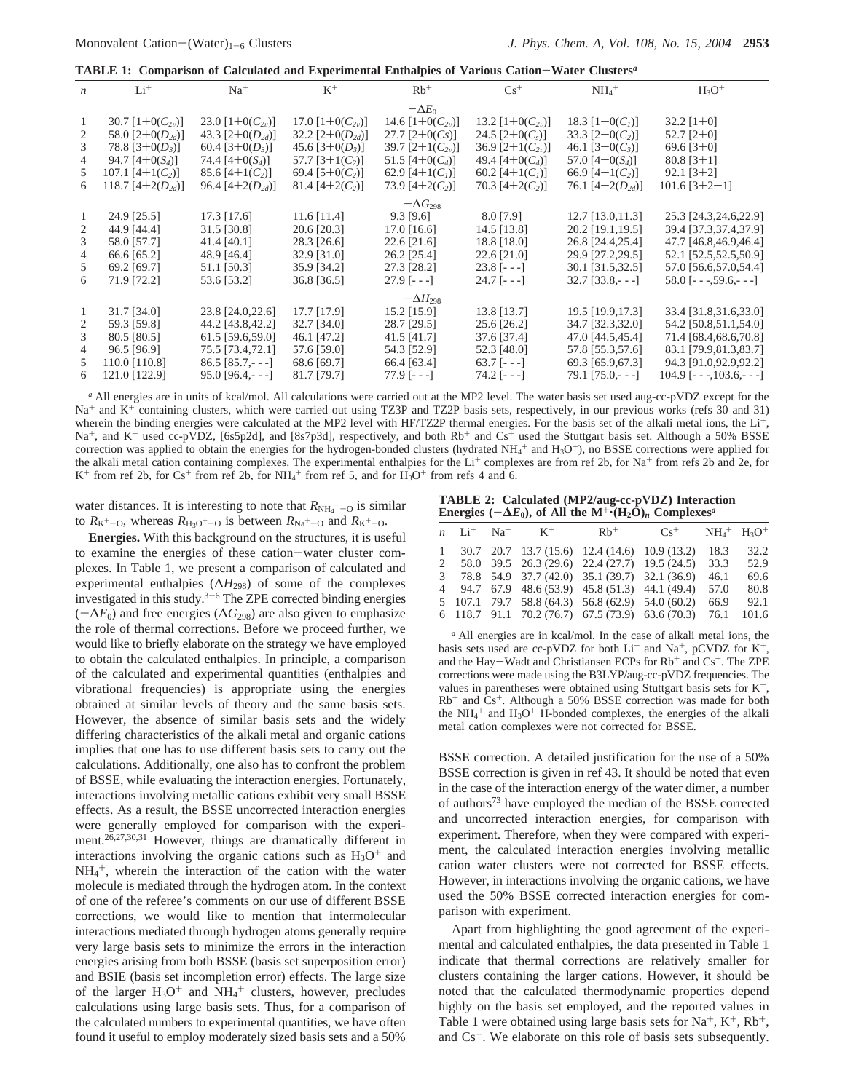**TABLE 1: Comparison of Calculated and Experimental Enthalpies of Various Cation**-**Water Clusters***<sup>a</sup>*

| $\boldsymbol{n}$ | $Li^+$                | $Na+$                         | $K^+$                | $Rb$ <sup>+</sup>    | $Cs^+$               | $NH_4$ <sup>+</sup>  | $H_3O^+$                       |
|------------------|-----------------------|-------------------------------|----------------------|----------------------|----------------------|----------------------|--------------------------------|
|                  |                       |                               |                      | $-\Delta E_0$        |                      |                      |                                |
|                  | 30.7 $[1+0(C_{2n})]$  | 23.0 [ $1+0(C_{2\nu})$ ]      | 17.0 $[1+0(C_{2v})]$ | 14.6 $[1+0(C_{2v})]$ | 13.2 $[1+0(C_{2v})]$ | 18.3 $[1+0(Cl)]$     | $32.2$ [1+0]                   |
| 2                | 58.0 $[2+0(D_{2d})]$  | 43.3 $[2+0(D_{2d})]$          | 32.2 $[2+0(D_{2d})]$ | $27.7$ [2+0(Cs)]     | 24.5 $[2+0(C_s)]$    | 33.3 $[2+0(C_2)]$    | $52.7$ $[2+0]$                 |
| 3.               | 78.8 $[3+0(D_3)]$     | 60.4 $[3+0(D_3)]$             | 45.6 $[3+0(D_3)]$    | 39.7 $[2+1(C_{2v})]$ | 36.9 $[2+1(C_{2v})]$ | 46.1 $[3+0(C_3)]$    | $69.6$ [3+0]                   |
| 4                | 94.7 $[4+0(S_4)]$     | 74.4 $[4+0(S_4)]$             | 57.7 [3+1( $C_2$ )]  | 51.5 [4+0( $C_4$ )]  | 49.4 [4+0( $C_4$ )]  | 57.0 $[4+0(S_4)]$    | $80.8$ [3+1]                   |
| $\mathcal{L}$    | 107.1 [4+1( $C_2$ )]  | $85.6$ [4+1(C <sub>2</sub> )] | 69.4 [5+0( $C_2$ )]  | 62.9 [4+1 $(C1)$ ]   | 60.2 [4+1 $(C1)$ ]   | 66.9 [4+1( $C_2$ )]  | $92.1$ [3+2]                   |
| 6.               | 118.7 $[4+2(D_{2d})]$ | 96.4 $[4+2(D_{2d})]$          | 81.4 [4+2 $(C_2)$ ]  | 73.9 $[4+2(C_2)]$    | 70.3 [4+2 $(C_2)$ ]  | 76.1 $[4+2(D_{2d})]$ | $101.6$ [3+2+1]                |
|                  |                       |                               |                      | $-\Delta G_{298}$    |                      |                      |                                |
|                  | 24.9 [25.5]           | $17.3$ [17.6]                 | $11.6$ [11.4]        | $9.3$ [9.6]          | 8.0 [7.9]            | $12.7$ [13.0, 11.3]  | 25.3 [24.3,24.6,22.9]          |
|                  | 44.9 [44.4]           | 31.5 [30.8]                   | $20.6$ [20.3]        | $17.0$ [16.6]        | 14.5 [13.8]          | 20.2 [19.1, 19.5]    | 39.4 [37.3,37.4,37.9]          |
| 3                | 58.0 [57.7]           | $41.4$ [40.1]                 | $28.3$ [26.6]        | $22.6$ [21.6]        | 18.8 [18.0]          | 26.8 [24.4,25.4]     | 47.7 [46.8,46.9,46.4]          |
| 4                | 66.6 [65.2]           | 48.9 [46.4]                   | 32.9 [31.0]          | $26.2$ [25.4]        | $22.6$ [21.0]        | 29.9 [27.2,29.5]     | 52.1 [52.5,52.5,50.9]          |
| 5                | 69.2 [69.7]           | 51.1 [50.3]                   | 35.9 [34.2]          | 27.3 [28.2]          | $23.8$ [---]         | 30.1 [31.5,32.5]     | 57.0 [56.6,57.0,54.4]          |
| 6                | 71.9 [72.2]           | 53.6 [53.2]                   | 36.8 [36.5]          | $27.9$ [---]         | $24.7$ [---]         | $32.7$ [33.8,- - -]  | $58.0$ [- - -, $59.6$ , - - -] |
|                  |                       |                               |                      | $-\Delta H_{298}$    |                      |                      |                                |
| 1                | 31.7 [34.0]           | 23.8 [24.0,22.6]              | 17.7 [17.9]          | $15.2$ [15.9]        | 13.8 [13.7]          | 19.5 [19.9,17.3]     | 33.4 [31.8,31.6,33.0]          |
|                  | 59.3 [59.8]           | 44.2 [43.8,42.2]              | 32.7 [34.0]          | 28.7 [29.5]          | 25.6 [26.2]          | 34.7 [32.3,32.0]     | 54.2 [50.8,51.1,54.0]          |
| 3                | $80.5$ [ $80.5$ ]     | $61.5$ [59.6,59.0]            | 46.1 [47.2]          | $41.5$ [41.7]        | 37.6 [37.4]          | 47.0 [44.5,45.4]     | 71.4 [68.4, 68.6, 70.8]        |
| 4                | 96.5 [96.9]           | 75.5 [73.4,72.1]              | 57.6 [59.0]          | 54.3 [52.9]          | 52.3 [48.0]          | 57.8 [55.3,57.6]     | 83.1 [79.9,81.3,83.7]          |
| $\mathcal{L}$    | 110.0 [110.8]         | $86.5$ [ $85.7 - -1$ ]        | 68.6 [69.7]          | 66.4 [63.4]          | $63.7$ [- - -]       | 69.3 [65.9,67.3]     | 94.3 [91.0,92.9,92.2]          |
| 6.               | 121.0 [122.9]         | $95.0$ [96.4,- - -]           | 81.7 [79.7]          | $77.9$ [- - -]       | $74.2$ [- - -]       | $79.1$ [75.0,- --]   | $104.9$ [- - -, 103.6, - - -]  |
|                  |                       |                               |                      |                      |                      |                      |                                |

*<sup>a</sup>* All energies are in units of kcal/mol. All calculations were carried out at the MP2 level. The water basis set used aug-cc-pVDZ except for the Na<sup>+</sup> and K<sup>+</sup> containing clusters, which were carried out using TZ3P and TZ2P basis sets, respectively, in our previous works (refs 30 and 31) wherein the binding energies were calculated at the MP2 level with HF/TZ2P thermal energies. For the basis set of the alkali metal ions, the Li<sup>+</sup>, Na<sup>+</sup>, and K<sup>+</sup> used cc-pVDZ, [6s5p2d], and [8s7p3d], respectively, and both Rb<sup>+</sup> and Cs<sup>+</sup> used the Stuttgart basis set. Although a 50% BSSE correction was applied to obtain the energies for the hydrogen-bonded clusters (hydrated  $NH_4^+$  and  $H_3O^+$ ), no BSSE corrections were applied for the alkali metal cation containing complexes. The experimental enthalpies for the  $Li^+$  complexes are from ref 2b, for Na<sup>+</sup> from refs 2b and 2e, for  $K^+$  from ref 2b, for  $Cs^+$  from ref 2b, for  $NH_4^+$  from ref 5, and for  $H_3O^+$  from refs 4 and 6.

water distances. It is interesting to note that  $R_{\text{NH}_4}{}^+$ - $_{\text{O}}$  is similar to  $R_{K^+ - O}$ , whereas  $R_{H_3O^+ - O}$  is between  $R_{Na^+ - O}$  and  $R_{K^+ - O}$ .

**Energies.** With this background on the structures, it is useful to examine the energies of these cation-water cluster complexes. In Table 1, we present a comparison of calculated and experimental enthalpies (∆*H*298) of some of the complexes investigated in this study. $3-6$  The ZPE corrected binding energies (-∆*E*0) and free energies (∆*G*298) are also given to emphasize the role of thermal corrections. Before we proceed further, we would like to briefly elaborate on the strategy we have employed to obtain the calculated enthalpies. In principle, a comparison of the calculated and experimental quantities (enthalpies and vibrational frequencies) is appropriate using the energies obtained at similar levels of theory and the same basis sets. However, the absence of similar basis sets and the widely differing characteristics of the alkali metal and organic cations implies that one has to use different basis sets to carry out the calculations. Additionally, one also has to confront the problem of BSSE, while evaluating the interaction energies. Fortunately, interactions involving metallic cations exhibit very small BSSE effects. As a result, the BSSE uncorrected interaction energies were generally employed for comparison with the experiment.<sup>26,27,30,31</sup> However, things are dramatically different in interactions involving the organic cations such as  $H_3O^+$  and  $NH_4^+$ , wherein the interaction of the cation with the water molecule is mediated through the hydrogen atom. In the context of one of the referee's comments on our use of different BSSE corrections, we would like to mention that intermolecular interactions mediated through hydrogen atoms generally require very large basis sets to minimize the errors in the interaction energies arising from both BSSE (basis set superposition error) and BSIE (basis set incompletion error) effects. The large size of the larger  $H_3O^+$  and  $NH_4^+$  clusters, however, precludes calculations using large basis sets. Thus, for a comparison of the calculated numbers to experimental quantities, we have often found it useful to employ moderately sized basis sets and a 50%

**TABLE 2: Calculated (MP2/aug-cc-pVDZ) Interaction Energies** ( $-\Delta E_0$ ), of All the M<sup>+</sup> $\cdot$ </sup>(H<sub>2</sub>O)<sub>*n*</sub> Complexes<sup>*a*</sup>

|  | n Li <sup>+</sup> Na <sup>+</sup> K <sup>+</sup>                         | $Rb$ <sup>+</sup> | $Cs^+$ | $NH_4$ <sup>+</sup> $H_3O$ <sup>+</sup> |       |
|--|--------------------------------------------------------------------------|-------------------|--------|-----------------------------------------|-------|
|  | $1\quad 30.7\quad 20.7\quad 13.7\quad15.6)$ $12.4(14.6)\quad 10.9(13.2)$ |                   |        | 18.3                                    | 32.2  |
|  | 2 58.0 39.5 26.3 (29.6) 22.4 (27.7) 19.5 (24.5)                          |                   |        | 33.3                                    | 52.9  |
|  | 3 78.8 54.9 37.7 (42.0) 35.1 (39.7) 32.1 (36.9)                          |                   |        | 46.1                                    | 69.6  |
|  | 4 94.7 67.9 48.6 (53.9) 45.8 (51.3) 44.1 (49.4)                          |                   |        | 57.0                                    | 80.8  |
|  | 5 107.1 79.7 58.8 (64.3) 56.8 (62.9) 54.0 (60.2)                         |                   |        | 66.9                                    | 92.1  |
|  | $6$ 118.7 91.1 70.2 (76.7) $67.5$ (73.9) $63.6$ (70.3)                   |                   |        | 76.1                                    | 101.6 |

*<sup>a</sup>* All energies are in kcal/mol. In the case of alkali metal ions, the basis sets used are cc-pVDZ for both  $Li^+$  and Na<sup>+</sup>, pCVDZ for K<sup>+</sup>, and the Hay-Wadt and Christiansen ECPs for  $Rb<sup>+</sup>$  and  $Cs<sup>+</sup>$ . The ZPE corrections were made using the B3LYP/aug-cc-pVDZ frequencies. The values in parentheses were obtained using Stuttgart basis sets for  $K^+$ ,  $Rb$ <sup>+</sup> and  $Cs$ <sup>+</sup>. Although a 50% BSSE correction was made for both the  $NH_4$ <sup>+</sup> and  $H_3O$ <sup>+</sup> H-bonded complexes, the energies of the alkali metal cation complexes were not corrected for BSSE.

BSSE correction. A detailed justification for the use of a 50% BSSE correction is given in ref 43. It should be noted that even in the case of the interaction energy of the water dimer, a number of authors73 have employed the median of the BSSE corrected and uncorrected interaction energies, for comparison with experiment. Therefore, when they were compared with experiment, the calculated interaction energies involving metallic cation water clusters were not corrected for BSSE effects. However, in interactions involving the organic cations, we have used the 50% BSSE corrected interaction energies for comparison with experiment.

Apart from highlighting the good agreement of the experimental and calculated enthalpies, the data presented in Table 1 indicate that thermal corrections are relatively smaller for clusters containing the larger cations. However, it should be noted that the calculated thermodynamic properties depend highly on the basis set employed, and the reported values in Table 1 were obtained using large basis sets for  $Na^+, K^+, Rb^+,$ and  $Cs<sup>+</sup>$ . We elaborate on this role of basis sets subsequently.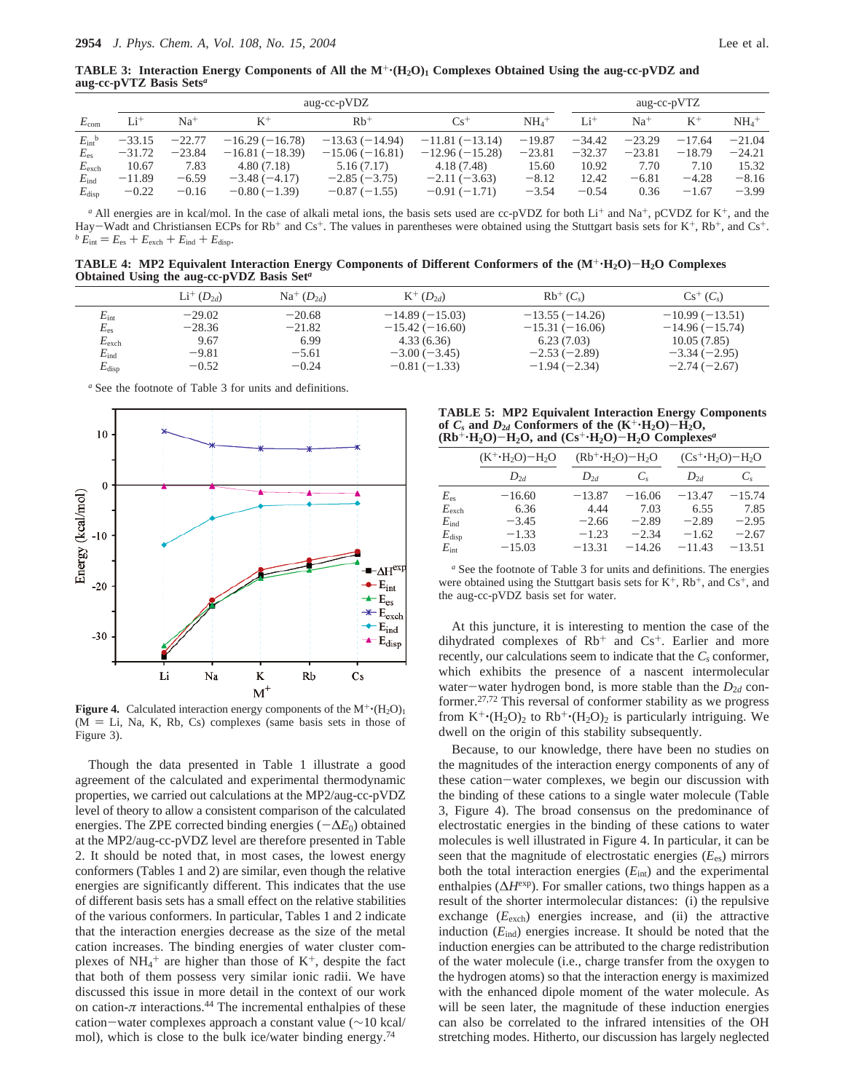**TABLE 3: Interaction Energy Components of All the**  $M^+$ **<b>(H<sub>2</sub>O)<sub>1</sub>** Complexes Obtained Using the aug-cc-pVDZ and **aug-cc-pVTZ Basis Sets***<sup>a</sup>*

|                       |          | aug-cc-pVDZ |                  |                   |                  |                    |                 | aug-cc-pVTZ |          |                     |  |
|-----------------------|----------|-------------|------------------|-------------------|------------------|--------------------|-----------------|-------------|----------|---------------------|--|
| $E_{\rm com}$         | $Li^+$   | $Na+$       | $K^+$            | $Rb$ <sup>+</sup> | $Cs^{+}$         | $NH4$ <sup>+</sup> | Li <sup>+</sup> | $Na+$       | $K^+$    | $NH_4$ <sup>+</sup> |  |
| $E_{\rm int}^{\rm b}$ | $-33.15$ | $-22.77$    | $-16.29(-16.78)$ | $-13.63(-14.94)$  | $-11.81(-13.14)$ | $-19.87$           | $-34.42$        | $-23.29$    | $-17.64$ | $-21.04$            |  |
| $E_{\rm es}$          | $-31.72$ | $-23.84$    | $-16.81(-18.39)$ | $-15.06(-16.81)$  | $-12.96(-15.28)$ | $-23.81$           | $-32.37$        | $-23.81$    | $-18.79$ | $-24.21$            |  |
| $E_{\text{exch}}$     | 10.67    | 7.83        | 4.80(7.18)       | 5.16(7.17)        | 4.18 (7.48)      | 15.60              | 10.92           | 7.70        | 7.10     | 15.32               |  |
| $E_{\rm ind}$         | $-11.89$ | $-6.59$     | $-3.48(-4.17)$   | $-2.85(-3.75)$    | $-2.11(-3.63)$   | $-8.12$            | 12.42           | $-6.81$     | $-4.28$  | $-8.16$             |  |
| $E_{\rm disp}$        | $-0.22$  | $-0.16$     | $-0.80(-1.39)$   | $-0.87(-1.55)$    | $-0.91(-1.71)$   | $-3.54$            | $-0.54$         | 0.36        | $-1.67$  | $-3.99$             |  |

*a* All energies are in kcal/mol. In the case of alkali metal ions, the basis sets used are cc-pVDZ for both Li<sup>+</sup> and Na<sup>+</sup>, pCVDZ for K<sup>+</sup>, and the Hay-Wadt and Christiansen ECPs for Rb<sup>+</sup> and Cs<sup>+</sup>. The values in parentheses were obtained using the Stuttgart basis sets for K<sup>+</sup>, Rb<sup>+</sup>, and Cs<sup>+</sup>. <sup>*b*</sup>  $E_{int} = E_{es} + E_{exch} + E_{ind} + E_{disp}$ .

**TABLE 4: MP2 Equivalent Interaction Energy Components of Different Conformers of the (M**+'**H2O)**-**H2O Complexes Obtained Using the aug-cc-pVDZ Basis Set***<sup>a</sup>*

|                   | $Li^+(D_{2d})$ | $Na^+(D_{2d})$ | $K^+(D_{2d})$    | $Rb^+(C_s)$      | $Cs^+(C_s)$      |
|-------------------|----------------|----------------|------------------|------------------|------------------|
| $E_{\rm int}$     | $-29.02$       | $-20.68$       | $-14.89(-15.03)$ | $-13.55(-14.26)$ | $-10.99(-13.51)$ |
| $E_{\rm es}$      | $-28.36$       | $-21.82$       | $-15.42(-16.60)$ | $-15.31(-16.06)$ | $-14.96(-15.74)$ |
| $E_{\text{exch}}$ | 9.67           | 6.99           | 4.33(6.36)       | 6.23(7.03)       | 10.05(7.85)      |
| $E_{\rm ind}$     | $-9.81$        | $-5.61$        | $-3.00(-3.45)$   | $-2.53(-2.89)$   | $-3.34(-2.95)$   |
| $E_{\rm disp}$    | $-0.52$        | $-0.24$        | $-0.81(-1.33)$   | $-1.94(-2.34)$   | $-2.74(-2.67)$   |
|                   |                |                |                  |                  |                  |

*<sup>a</sup>* See the footnote of Table 3 for units and definitions.



**Figure 4.** Calculated interaction energy components of the  $M^+ (H_2O)_1$  $(M = Li, Na, K, Rb, Cs)$  complexes (same basis sets in those of Figure 3).

Though the data presented in Table 1 illustrate a good agreement of the calculated and experimental thermodynamic properties, we carried out calculations at the MP2/aug-cc-pVDZ level of theory to allow a consistent comparison of the calculated energies. The ZPE corrected binding energies (-∆*E*0) obtained at the MP2/aug-cc-pVDZ level are therefore presented in Table 2. It should be noted that, in most cases, the lowest energy conformers (Tables 1 and 2) are similar, even though the relative energies are significantly different. This indicates that the use of different basis sets has a small effect on the relative stabilities of the various conformers. In particular, Tables 1 and 2 indicate that the interaction energies decrease as the size of the metal cation increases. The binding energies of water cluster complexes of  $NH_4$ <sup>+</sup> are higher than those of  $K^+$ , despite the fact that both of them possess very similar ionic radii. We have discussed this issue in more detail in the context of our work on cation- $\pi$  interactions.<sup>44</sup> The incremental enthalpies of these cation-water complexes approach a constant value (∼10 kcal/ mol), which is close to the bulk ice/water binding energy.<sup>74</sup>

**TABLE 5: MP2 Equivalent Interaction Energy Components** of  $C_s$  and  $D_{2d}$  Conformers of the  $(K^{\dagger} \cdot H_2O) - H_2O$ ,  $(Rb^+ \cdot H_2O) - H_2O$ , and  $(Cs^+ \cdot H_2O) - H_2O$  Complexes<sup>*a*</sup>

|                | $(K^+H_2O)-H_2O$ | $(Rb^+H_2O)-H_2O$ |             |          | $(Cs^+H_2O)-H_2O$ |  |  |
|----------------|------------------|-------------------|-------------|----------|-------------------|--|--|
|                | $D_{2d}$         | $D_{2d}$          | $C_{\rm c}$ | $D_{2d}$ | $C_{s}$           |  |  |
| $E_{\rm es}$   | $-16.60$         | $-13.87$          | $-16.06$    | $-13.47$ | $-15.74$          |  |  |
| $E_{\rm exch}$ | 6.36             | 4.44              | 7.03        | 6.55     | 7.85              |  |  |
| $E_{\rm ind}$  | $-3.45$          | $-2.66$           | $-2.89$     | $-2.89$  | $-2.95$           |  |  |
| $E_{\rm disp}$ | $-1.33$          | $-1.23$           | $-2.34$     | $-1.62$  | $-2.67$           |  |  |
| $E_{\rm int}$  | $-15.03$         | $-13.31$          | $-14.26$    | $-11.43$ | $-13.51$          |  |  |

*<sup>a</sup>* See the footnote of Table 3 for units and definitions. The energies were obtained using the Stuttgart basis sets for  $K^+$ ,  $Rb^+$ , and  $Cs^+$ , and the aug-cc-pVDZ basis set for water.

At this juncture, it is interesting to mention the case of the dihydrated complexes of  $Rb<sup>+</sup>$  and  $Cs<sup>+</sup>$ . Earlier and more recently, our calculations seem to indicate that the  $C_s$  conformer, which exhibits the presence of a nascent intermolecular water-water hydrogen bond, is more stable than the  $D_{2d}$  conformer.27,72 This reversal of conformer stability as we progress from  $K^+(H_2O)_2$  to  $Rb^+(H_2O)_2$  is particularly intriguing. We dwell on the origin of this stability subsequently.

Because, to our knowledge, there have been no studies on the magnitudes of the interaction energy components of any of these cation-water complexes, we begin our discussion with the binding of these cations to a single water molecule (Table 3, Figure 4). The broad consensus on the predominance of electrostatic energies in the binding of these cations to water molecules is well illustrated in Figure 4. In particular, it can be seen that the magnitude of electrostatic energies (*E*es) mirrors both the total interaction energies (*E*int) and the experimental enthalpies (∆*H*exp). For smaller cations, two things happen as a result of the shorter intermolecular distances: (i) the repulsive exchange (*E*exch) energies increase, and (ii) the attractive induction (*E*ind) energies increase. It should be noted that the induction energies can be attributed to the charge redistribution of the water molecule (i.e., charge transfer from the oxygen to the hydrogen atoms) so that the interaction energy is maximized with the enhanced dipole moment of the water molecule. As will be seen later, the magnitude of these induction energies can also be correlated to the infrared intensities of the OH stretching modes. Hitherto, our discussion has largely neglected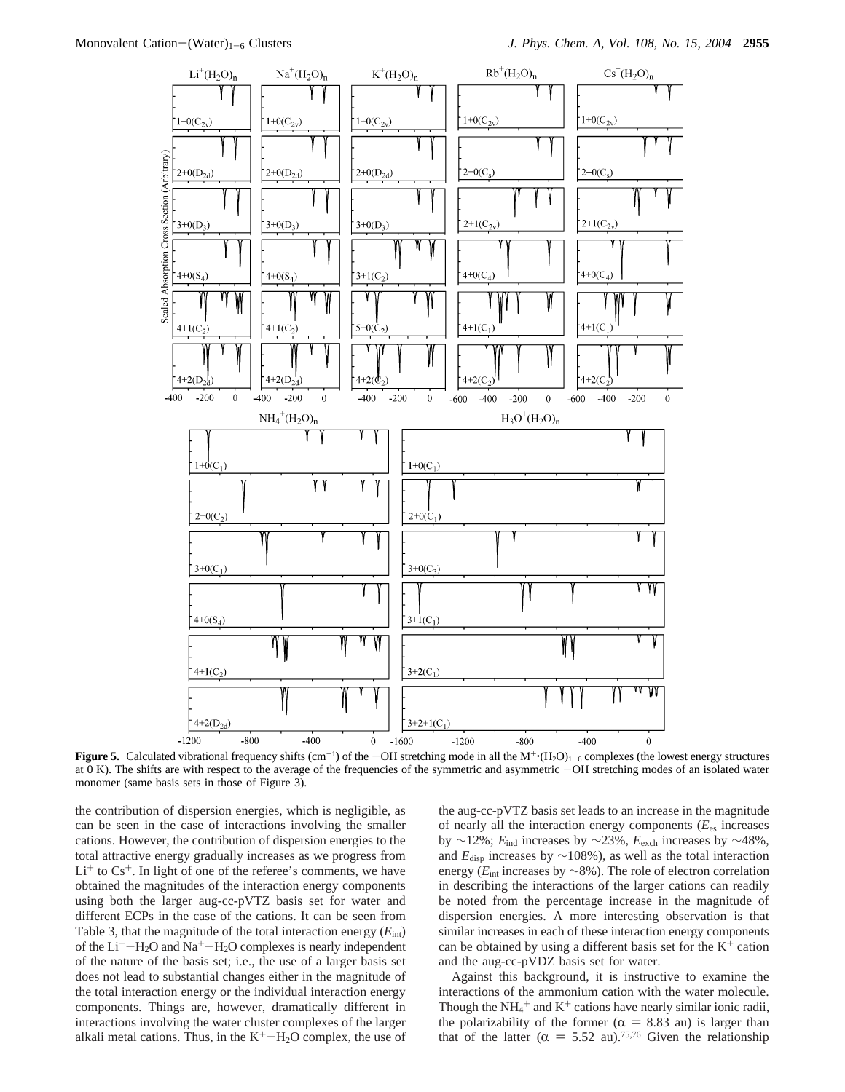

**Figure 5.** Calculated vibrational frequency shifts  $(cm^{-1})$  of the  $-OH$  stretching mode in all the  $M^+(H_2O)_{1-6}$  complexes (the lowest energy structures at 0 K). The shifts are with respect to the average of the frequenc at 0 K). The shifts are with respect to the average of the frequencies of the symmetric and asymmetric  $-OH$  stretching modes of an isolated water monomer (same basis sets in those of Figure 3).

the contribution of dispersion energies, which is negligible, as can be seen in the case of interactions involving the smaller cations. However, the contribution of dispersion energies to the total attractive energy gradually increases as we progress from  $Li<sup>+</sup>$  to  $Cs<sup>+</sup>$ . In light of one of the referee's comments, we have obtained the magnitudes of the interaction energy components using both the larger aug-cc-pVTZ basis set for water and different ECPs in the case of the cations. It can be seen from Table 3, that the magnitude of the total interaction energy  $(E_{\text{int}})$ of the  $Li^+$ -H<sub>2</sub>O and Na<sup>+</sup>-H<sub>2</sub>O complexes is nearly independent of the nature of the basis set; i.e., the use of a larger basis set does not lead to substantial changes either in the magnitude of the total interaction energy or the individual interaction energy components. Things are, however, dramatically different in interactions involving the water cluster complexes of the larger alkali metal cations. Thus, in the  $K^+$ -H<sub>2</sub>O complex, the use of the aug-cc-pVTZ basis set leads to an increase in the magnitude of nearly all the interaction energy components (*E*es increases by ∼12%; *E*ind increases by ∼23%, *E*exch increases by ∼48%, and *E*disp increases by ∼108%), as well as the total interaction energy (*E*int increases by ∼8%). The role of electron correlation in describing the interactions of the larger cations can readily be noted from the percentage increase in the magnitude of dispersion energies. A more interesting observation is that similar increases in each of these interaction energy components can be obtained by using a different basis set for the  $K^+$  cation and the aug-cc-pVDZ basis set for water.

Against this background, it is instructive to examine the interactions of the ammonium cation with the water molecule. Though the  $NH_4^+$  and  $K^+$  cations have nearly similar ionic radii, the polarizability of the former ( $\alpha = 8.83$  au) is larger than<br>that of the latter ( $\alpha = 5.52$  au) <sup>75,76</sup> Given the relationship that of the latter ( $\alpha = 5.52$  au).<sup>75,76</sup> Given the relationship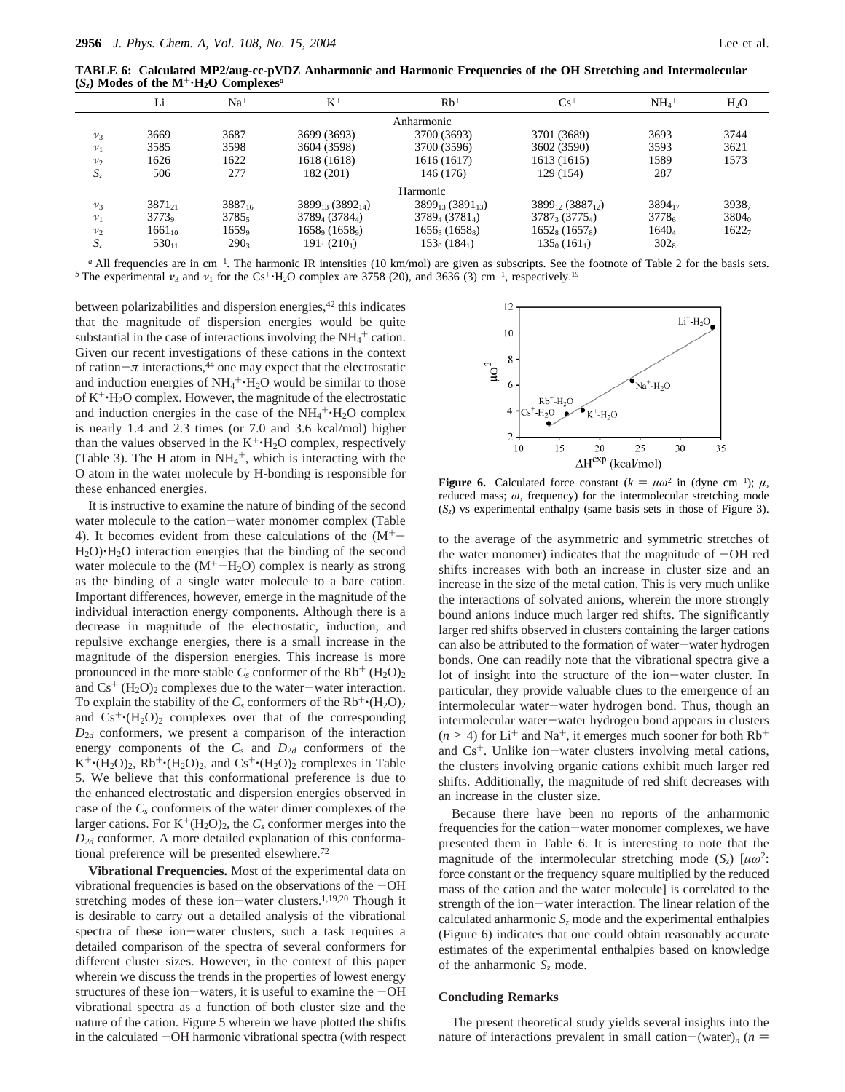**TABLE 6: Calculated MP2/aug-cc-pVDZ Anharmonic and Harmonic Frequencies of the OH Stretching and Intermolecular**  $(S_z)$  Modes of the  $M^+ \cdot H_2O$  Complexes<sup>*a*</sup>

|                | $Li+$       | $Na+$       | $K^+$                               | $Rb$ <sup>+</sup>                 | $Cs+$                                  | $NH4$ <sup>+</sup> | $H_2O$            |
|----------------|-------------|-------------|-------------------------------------|-----------------------------------|----------------------------------------|--------------------|-------------------|
|                |             |             |                                     | Anharmonic                        |                                        |                    |                   |
| $v_3$          | 3669        | 3687        | 3699 (3693)                         | 3700 (3693)                       | 3701 (3689)                            | 3693               | 3744              |
| $\nu_1$        | 3585        | 3598        | 3604 (3598)                         | 3700 (3596)                       | 3602 (3590)                            | 3593               | 3621              |
| v <sub>2</sub> | 1626        | 1622        | 1618 (1618)                         | 1616 (1617)                       | 1613 (1615)                            | 1589               | 1573              |
| $S_z$          | 506         | 277         | 182 (201)                           | 146 (176)                         | 129 (154)                              | 287                |                   |
|                |             |             |                                     | Harmonic                          |                                        |                    |                   |
| $\nu_3$        | $3871_{21}$ | $3887_{16}$ | $3899_{13}$ (3892 <sub>14</sub> )   | $3899_{13}$ (3891 <sub>13</sub> ) | $3899_{12}$ (3887 <sub>12</sub> )      | 389417             | 39387             |
| $\nu_1$        | $3773_9$    | $3785_5$    | $3789_4(3784_4)$                    | $3789_{4}$ (3781 <sub>4</sub> )   | $3787_3(3775_4)$                       | 37786              | $3804_0$          |
| $v_2$          | $1661_{10}$ | 16599       | $1658\text{°}$ (1658 <sup>o</sup> ) | $1656_8(1658_8)$                  | 1652 <sub>8</sub> (1657 <sub>8</sub> ) | $1640_4$           | 1622 <sub>7</sub> |
| $S_z$          | $530_{11}$  | $290_3$     | $191_1(210_1)$                      | $153_0(184_1)$                    | $135_0(161_1)$                         | $302_8$            |                   |

<sup>a</sup> All frequencies are in cm<sup>-1</sup>. The harmonic IR intensities (10 km/mol) are given as subscripts. See the footnote of Table 2 for the basis sets. *b* The experimental  $\nu_3$  and  $\nu_1$  for the Cs<sup>+</sup>·H<sub>2</sub>O complex are 3758 (20), and 3636 (3) cm<sup>-1</sup>, respectively.<sup>19</sup>

between polarizabilities and dispersion energies,<sup>42</sup> this indicates that the magnitude of dispersion energies would be quite substantial in the case of interactions involving the  $NH<sub>4</sub>$ <sup>+</sup> cation. Given our recent investigations of these cations in the context of cation $-\pi$  interactions,<sup>44</sup> one may expect that the electrostatic and induction energies of  $NH_4^+H_2O$  would be similar to those<br>of  $K^+\cdot H_2O$  complex. However, the magnitude of the electrostatic of  $K^+H_2O$  complex. However, the magnitude of the electrostatic and induction energies in the case of the  $NH_4^+H_2O$  complex<br>is nearly 1.4 and 2.3 times (or 7.0 and 3.6 kcal/mol) higher is nearly 1.4 and 2.3 times (or 7.0 and 3.6 kcal/mol) higher than the values observed in the  $K^+$ -H<sub>2</sub>O complex, respectively (Table 3). The H atom in  $NH_4^+$ , which is interacting with the O atom in the water molecule by H-bonding is responsible for these enhanced energies.

It is instructive to examine the nature of binding of the second water molecule to the cation-water monomer complex (Table 4). It becomes evident from these calculations of the  $(M<sup>+</sup>$ H2O)'H2O interaction energies that the binding of the second water molecule to the  $(M<sup>+</sup>-H<sub>2</sub>O)$  complex is nearly as strong as the binding of a single water molecule to a bare cation. Important differences, however, emerge in the magnitude of the individual interaction energy components. Although there is a decrease in magnitude of the electrostatic, induction, and repulsive exchange energies, there is a small increase in the magnitude of the dispersion energies. This increase is more pronounced in the more stable  $C_s$  conformer of the  $Rb^+$  (H<sub>2</sub>O)<sub>2</sub> and  $Cs^+$  (H<sub>2</sub>O)<sub>2</sub> complexes due to the water-water interaction. To explain the stability of the  $C_s$  conformers of the  $Rb^+\cdot (H_2O)_2$ and  $Cs^+(H_2O)_2$  complexes over that of the corresponding *D*<sup>2</sup>*<sup>d</sup>* conformers, we present a comparison of the interaction energy components of the  $C_s$  and  $D_{2d}$  conformers of the  $K^+(H_2O)_2$ ,  $Rb^+(\overline{H_2O})_2$ , and  $Cs^+(\overline{H_2O})_2$  complexes in Table 5. We believe that this conformational preference is due to the enhanced electrostatic and dispersion energies observed in case of the *Cs* conformers of the water dimer complexes of the larger cations. For  $K^+(H_2O)_2$ , the  $C_s$  conformer merges into the *D2d* conformer. A more detailed explanation of this conformational preference will be presented elsewhere.<sup>72</sup>

**Vibrational Frequencies.** Most of the experimental data on vibrational frequencies is based on the observations of the  $-OH$ stretching modes of these ion-water clusters.<sup>1,19,20</sup> Though it is desirable to carry out a detailed analysis of the vibrational spectra of these ion-water clusters, such a task requires a detailed comparison of the spectra of several conformers for different cluster sizes. However, in the context of this paper wherein we discuss the trends in the properties of lowest energy structures of these ion-waters, it is useful to examine the  $-OH$ vibrational spectra as a function of both cluster size and the nature of the cation. Figure 5 wherein we have plotted the shifts in the calculated -OH harmonic vibrational spectra (with respect



**Figure 6.** Calculated force constant  $(k = \mu \omega^2 \text{ in (dyne cm}^{-1}); \mu$ , reduced mass:  $\omega$  frequency) for the intermolecular stretching mode reduced mass; *ω*, frequency) for the intermolecular stretching mode (*Sz*) vs experimental enthalpy (same basis sets in those of Figure 3).

to the average of the asymmetric and symmetric stretches of the water monomer) indicates that the magnitude of  $-OH$  red shifts increases with both an increase in cluster size and an increase in the size of the metal cation. This is very much unlike the interactions of solvated anions, wherein the more strongly bound anions induce much larger red shifts. The significantly larger red shifts observed in clusters containing the larger cations can also be attributed to the formation of water-water hydrogen bonds. One can readily note that the vibrational spectra give a lot of insight into the structure of the ion-water cluster. In particular, they provide valuable clues to the emergence of an intermolecular water-water hydrogen bond. Thus, though an intermolecular water-water hydrogen bond appears in clusters  $(n \ge 4)$  for Li<sup>+</sup> and Na<sup>+</sup>, it emerges much sooner for both Rb<sup>+</sup> and Cs<sup>+</sup>. Unlike ion-water clusters involving metal cations, the clusters involving organic cations exhibit much larger red shifts. Additionally, the magnitude of red shift decreases with an increase in the cluster size.

Because there have been no reports of the anharmonic frequencies for the cation-water monomer complexes, we have presented them in Table 6. It is interesting to note that the magnitude of the intermolecular stretching mode  $(S_7)$  [ $\mu\omega^2$ : force constant or the frequency square multiplied by the reduced mass of the cation and the water molecule] is correlated to the strength of the ion-water interaction. The linear relation of the calculated anharmonic  $S<sub>z</sub>$  mode and the experimental enthalpies (Figure 6) indicates that one could obtain reasonably accurate estimates of the experimental enthalpies based on knowledge of the anharmonic *Sz* mode.

#### **Concluding Remarks**

The present theoretical study yields several insights into the nature of interactions prevalent in small cation-(water)<sub>*n*</sub> ( $n =$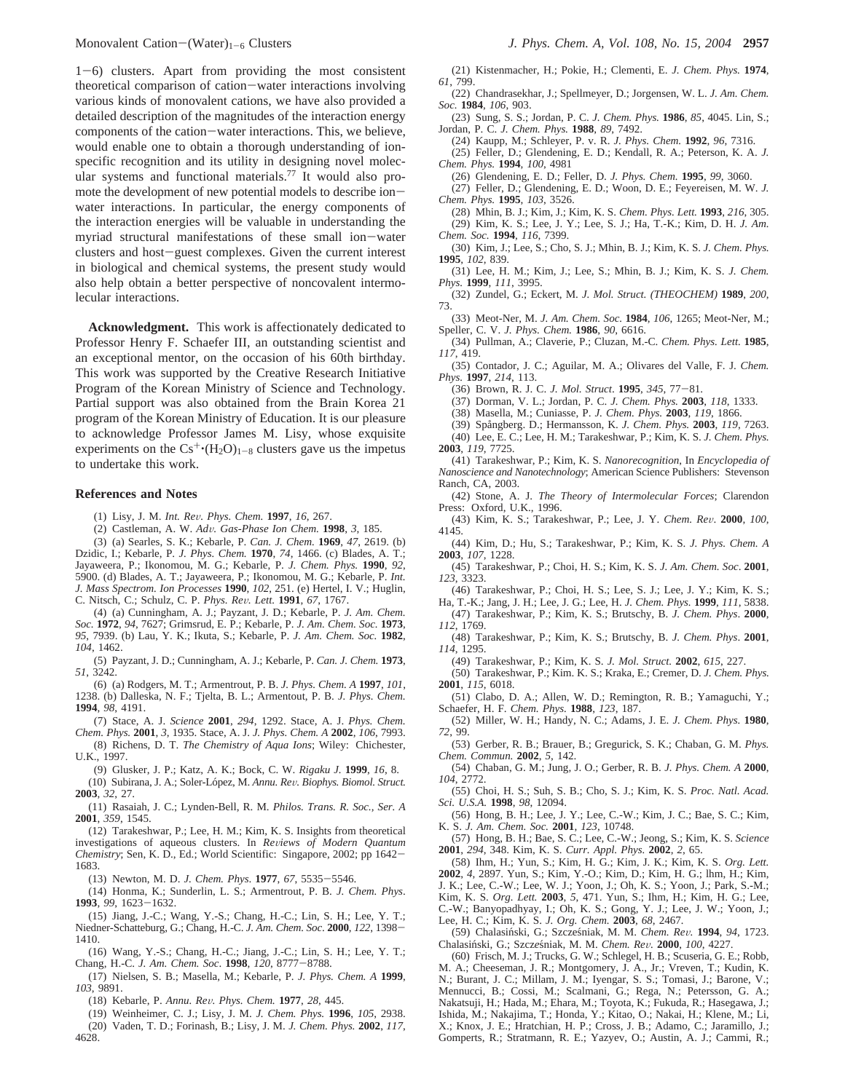<sup>1</sup>-6) clusters. Apart from providing the most consistent theoretical comparison of cation-water interactions involving various kinds of monovalent cations, we have also provided a detailed description of the magnitudes of the interaction energy components of the cation-water interactions. This, we believe, would enable one to obtain a thorough understanding of ionspecific recognition and its utility in designing novel molecular systems and functional materials.77 It would also promote the development of new potential models to describe ionwater interactions. In particular, the energy components of the interaction energies will be valuable in understanding the myriad structural manifestations of these small ion-water clusters and host-guest complexes. Given the current interest in biological and chemical systems, the present study would also help obtain a better perspective of noncovalent intermolecular interactions.

**Acknowledgment.** This work is affectionately dedicated to Professor Henry F. Schaefer III, an outstanding scientist and an exceptional mentor, on the occasion of his 60th birthday. This work was supported by the Creative Research Initiative Program of the Korean Ministry of Science and Technology. Partial support was also obtained from the Brain Korea 21 program of the Korean Ministry of Education. It is our pleasure to acknowledge Professor James M. Lisy, whose exquisite experiments on the  $Cs^+(H_2O)_{1-8}$  clusters gave us the impetus to undertake this work.

#### **References and Notes**

- (1) Lisy, J. M. *Int. Re*V*. Phys. Chem.* **<sup>1997</sup>**, *<sup>16</sup>*, 267.
- (2) Castleman, A. W. *Ad*V*. Gas-Phase Ion Chem.* **<sup>1998</sup>**, *<sup>3</sup>*, 185.

(3) (a) Searles, S. K.; Kebarle, P. *Can. J. Chem.* **1969**, *47*, 2619. (b) Dzidic, I.; Kebarle, P. *J. Phys. Chem.* **1970**, *74*, 1466. (c) Blades, A. T.; Jayaweera, P.; Ikonomou, M. G.; Kebarle, P. *J. Chem. Phys.* **1990**, *92*, 5900. (d) Blades, A. T.; Jayaweera, P.; Ikonomou, M. G.; Kebarle, P. *Int. J. Mass Spectrom. Ion Processes* **1990**, *102*, 251. (e) Hertel, I. V.; Huglin, C. Nitsch, C.; Schulz, C. P. *Phys. Re*V*. Lett.* **<sup>1991</sup>**, *<sup>67</sup>*, 1767.

(4) (a) Cunningham, A. J.; Payzant, J. D.; Kebarle, P. *J. Am. Chem. Soc.* **1972**, *94*, 7627; Grimsrud, E. P.; Kebarle, P. *J. Am. Chem. Soc.* **1973**, *95*, 7939. (b) Lau, Y. K.; Ikuta, S.; Kebarle, P. *J. Am. Chem. Soc.* **1982**, *104*, 1462.

(5) Payzant, J. D.; Cunningham, A. J.; Kebarle, P. *Can. J. Chem.* **1973**, *51*, 3242.

(6) (a) Rodgers, M. T.; Armentrout, P. B. *J. Phys. Chem. A* **1997**, *101*, 1238. (b) Dalleska, N. F.; Tjelta, B. L.; Armentout, P. B. *J. Phys. Chem.* **1994**, *98*, 4191.

(7) Stace, A. J. *Science* **2001**, *294*, 1292. Stace, A. J. *Phys. Chem. Chem. Phys.* **2001**, *3*, 1935. Stace, A. J. *J. Phys. Chem. A* **2002**, *106*, 7993.

(8) Richens, D. T. *The Chemistry of Aqua Ions*; Wiley: Chichester, U.K., 1997.

(9) Glusker, J. P.; Katz, A. K.; Bock, C. W. *Rigaku J.* **1999**, *16*, 8. (10) Subirana, J. A.; Soler-Lo´pez, M. *Annu. Re*V*. Biophys. Biomol. Struct.* **2003**, *32*, 27.

(11) Rasaiah, J. C.; Lynden-Bell, R. M. *Philos. Trans. R. Soc., Ser. A* **2001**, *359*, 1545.

(12) Tarakeshwar, P.; Lee, H. M.; Kim, K. S. Insights from theoretical investigations of aqueous clusters. In *Reviews of Modern Quantum Chemistry*; Sen, K. D., Ed.; World Scientific: Singapore, 2002; pp 1642- 1683.

(13) Newton, M. D. *J. Chem. Phys*. **<sup>1977</sup>**, *<sup>67</sup>*, 5535-5546.

(14) Honma, K.; Sunderlin, L. S.; Armentrout, P. B. *J. Chem. Phys*. **<sup>1993</sup>**, *<sup>99</sup>*, 1623-1632.

(15) Jiang, J.-C.; Wang, Y.-S.; Chang, H.-C.; Lin, S. H.; Lee, Y. T.; Niedner-Schatteburg, G.; Chang, H.-C. *J. Am. Chem. Soc*. **<sup>2000</sup>**, *<sup>122</sup>*, 1398- 1410.

(16) Wang, Y.-S.; Chang, H.-C.; Jiang, J.-C.; Lin, S. H.; Lee, Y. T.; Chang, H.-C. *J. Am. Chem. Soc*. **<sup>1998</sup>**, *<sup>120</sup>*, 8777-8788.

(17) Nielsen, S. B.; Masella, M.; Kebarle, P. *J. Phys. Chem. A* **1999**, *103*, 9891.

(18) Kebarle, P. *Annu. Re*V*. Phys. Chem.* **<sup>1977</sup>**, *<sup>28</sup>*, 445.

(19) Weinheimer, C. J.; Lisy, J. M. *J. Chem. Phys.* **1996**, *105*, 2938. (20) Vaden, T. D.; Forinash, B.; Lisy, J. M. *J. Chem. Phys.* **2002**, *117*, 4628

(21) Kistenmacher, H.; Pokie, H.; Clementi, E. *J. Chem. Phys.* **1974**, *61*, 799.

(22) Chandrasekhar, J.; Spellmeyer, D.; Jorgensen, W. L. *J. Am. Chem. Soc.* **1984**, *106*, 903.

(23) Sung, S. S.; Jordan, P. C. *J. Chem. Phys.* **1986**, *85*, 4045. Lin, S.; Jordan, P. C. *J. Chem. Phys.* **1988**, *89*, 7492.

(24) Kaupp, M.; Schleyer, P. v. R. *J. Phys. Chem.* **1992**, *96*, 7316. (25) Feller, D.; Glendening, E. D.; Kendall, R. A.; Peterson, K. A. *J. Chem. Phys.* **1994**, *100*, 4981

(26) Glendening, E. D.; Feller, D. *J. Phys. Chem.* **1995**, *99*, 3060.

(27) Feller, D.; Glendening, E. D.; Woon, D. E.; Feyereisen, M. W. *J. Chem. Phys.* **1995**, *103*, 3526.

(28) Mhin, B. J.; Kim, J.; Kim, K. S. *Chem. Phys. Lett.* **1993**, *216*, 305. (29) Kim, K. S.; Lee, J. Y.; Lee, S. J.; Ha, T.-K.; Kim, D. H. *J. Am. Chem. Soc.* **1994**, *116*, 7399.

(30) Kim, J.; Lee, S.; Cho, S. J.; Mhin, B. J.; Kim, K. S. *J. Chem. Phys.* **1995**, *102*, 839.

(31) Lee, H. M.; Kim, J.; Lee, S.; Mhin, B. J.; Kim, K. S. *J. Chem. Phys.* **1999**, *111*, 3995.

(32) Zundel, G.; Eckert, M. *J. Mol. Struct. (THEOCHEM)* **1989**, *200*, 73.

(33) Meot-Ner, M. *J. Am. Chem. Soc.* **1984**, *106*, 1265; Meot-Ner, M.; Speller, C. V. *J. Phys. Chem.* **1986**, *90*, 6616.

(34) Pullman, A.; Claverie, P.; Cluzan, M.-C. *Chem. Phys. Lett.* **1985**, *117*, 419.

(35) Contador, J. C.; Aguilar, M. A.; Olivares del Valle, F. J. *Chem. Phys.* **1997**, *214*, 113.

(36) Brown, R. J. C. *J. Mol. Struct*. **<sup>1995</sup>**, *<sup>345</sup>*, 77-81. (37) Dorman, V. L.; Jordan, P. C. *J. Chem. Phys.* **2003**, *118*, 1333.

(38) Masella, M.; Cuniasse, P. *J. Chem. Phys.* **2003**, *119*, 1866.

(39) Spångberg. D.; Hermansson, K. *J. Chem. Phys.* **2003**, *119*, 7263.

(40) Lee, E. C.; Lee, H. M.; Tarakeshwar, P.; Kim, K. S. *J. Chem. Phys.* **2003**, *119*, 7725.

(41) Tarakeshwar, P.; Kim, K. S. *Nanorecognition*, In *Encyclopedia of Nanoscience and Nanotechnology*; American Science Publishers: Stevenson Ranch, CA, 2003.

(42) Stone, A. J. *The Theory of Intermolecular Forces*; Clarendon Press: Oxford, U.K., 1996.

(43) Kim, K. S.; Tarakeshwar, P.; Lee, J. Y. *Chem. Re*V. **<sup>2000</sup>**, *<sup>100</sup>*, 4145.

(44) Kim, D.; Hu, S.; Tarakeshwar, P.; Kim, K. S. *J. Phys. Chem. A* **2003**, *107*, 1228.

(45) Tarakeshwar, P.; Choi, H. S.; Kim, K. S. *J. Am. Chem. Soc*. **2001**, *123*, 3323.

(46) Tarakeshwar, P.; Choi, H. S.; Lee, S. J.; Lee, J. Y.; Kim, K. S.; Ha, T.-K.; Jang, J. H.; Lee, J. G.; Lee, H. *J. Chem. Phys.* **1999**, *111*, 5838.

(47) Tarakeshwar, P.; Kim, K. S.; Brutschy, B. *J. Chem. Phys*. **2000**, *112*, 1769.

(48) Tarakeshwar, P.; Kim, K. S.; Brutschy, B. *J. Chem. Phys*. **2001**, *114*, 1295.

(49) Tarakeshwar, P.; Kim, K. S. *J. Mol. Struct.* **2002**, *615*, 227.

(50) Tarakeshwar, P.; Kim. K. S.; Kraka, E.; Cremer, D. *J. Chem. Phys.* **2001**, *115*, 6018.

(51) Clabo, D. A.; Allen, W. D.; Remington, R. B.; Yamaguchi, Y.; Schaefer, H. F. *Chem. Phys.* **1988**, *123*, 187.

(52) Miller, W. H.; Handy, N. C.; Adams, J. E. *J. Chem. Phys.* **1980**, *72*, 99.

(53) Gerber, R. B.; Brauer, B.; Gregurick, S. K.; Chaban, G. M. *Phys. Chem. Commun.* **2002**, *5*, 142.

(54) Chaban, G. M.; Jung, J. O.; Gerber, R. B. *J. Phys. Chem. A* **2000**, *104*, 2772.

(55) Choi, H. S.; Suh, S. B.; Cho, S. J.; Kim, K. S. *Proc. Natl. Acad. Sci. U.S.A.* **1998**, *98*, 12094.

(56) Hong, B. H.; Lee, J. Y.; Lee, C.-W.; Kim, J. C.; Bae, S. C.; Kim, K. S. *J. Am. Chem. Soc.* **2001**, *123*, 10748.

(57) Hong, B. H.; Bae, S. C.; Lee, C.-W.; Jeong, S.; Kim, K. S. *Science* **2001**, *294*, 348. Kim, K. S. *Curr. Appl. Phys.* **2002**, *2*, 65.

(58) Ihm, H.; Yun, S.; Kim, H. G.; Kim, J. K.; Kim, K. S. *Org. Lett.* **2002**, *4*, 2897. Yun, S.; Kim, Y.-O.; Kim, D.; Kim, H. G.; lhm, H.; Kim, J. K.; Lee, C.-W.; Lee, W. J.; Yoon, J.; Oh, K. S.; Yoon, J.; Park, S.-M.; Kim, K. S. *Org. Lett.* **2003**, *5*, 471. Yun, S.; Ihm, H.; Kim, H. G.; Lee, C.-W.; Banyopadhyay, I.; Oh, K. S.; Gong, Y. J.; Lee, J. W.; Yoon, J.; Lee, H. C.; Kim, K. S. *J. Org. Chem.* **2003**, *68*, 2467*.*

(59) Chalasin´ski, G.; Szczes´niak, M. M. *Chem. Re*V*.* **<sup>1994</sup>**, *<sup>94</sup>*, 1723. Chalasin´ski, G.; Szcz*e*s´niak, M. M. *Chem. Re*V*.* **<sup>2000</sup>**, *<sup>100</sup>*, 4227.

(60) Frisch, M. J.; Trucks, G. W.; Schlegel, H. B.; Scuseria, G. E.; Robb, M. A.; Cheeseman, J. R.; Montgomery, J. A., Jr.; Vreven, T.; Kudin, K. N.; Burant, J. C.; Millam, J. M.; Iyengar, S. S.; Tomasi, J.; Barone, V.; Mennucci, B.; Cossi, M.; Scalmani, G.; Rega, N.; Petersson, G. A.; Nakatsuji, H.; Hada, M.; Ehara, M.; Toyota, K.; Fukuda, R.; Hasegawa, J.; Ishida, M.; Nakajima, T.; Honda, Y.; Kitao, O.; Nakai, H.; Klene, M.; Li, X.; Knox, J. E.; Hratchian, H. P.; Cross, J. B.; Adamo, C.; Jaramillo, J.; Gomperts, R.; Stratmann, R. E.; Yazyev, O.; Austin, A. J.; Cammi, R.;